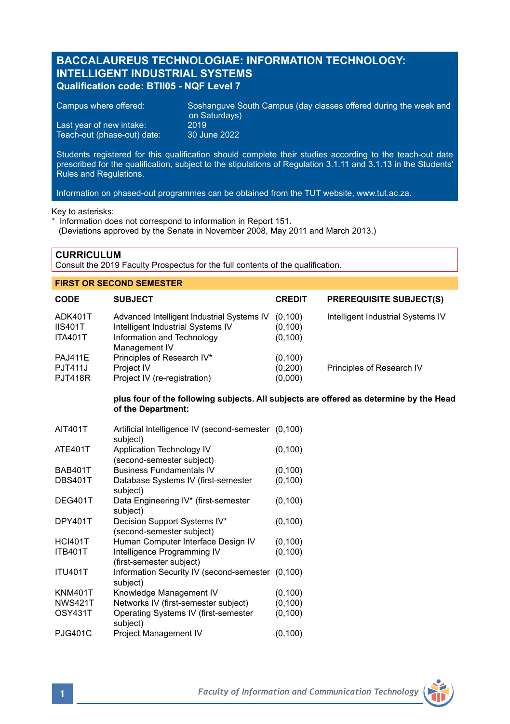# **BACCALAUREUS TECHNOLOGIAE: INFORMATION TECHNOLOGY: INTELLIGENT INDUSTRIAL SYSTEMS Qualification code: BTII05 - NQF Level 7**

| Campus where offered:       | Soshanguve South Campus (day classes offered during the week and b<br>on Saturdays) |
|-----------------------------|-------------------------------------------------------------------------------------|
| Last vear of new intake:    | 2019                                                                                |
| Teach-out (phase-out) date: | 30 June 2022                                                                        |

Students registered for this qualification should complete their studies according to the teach-out date prescribed for the qualification, subject to the stipulations of Regulation 3.1.11 and 3.1.13 in the Students' Rules and Regulations.

Information on phased-out programmes can be obtained from the TUT website, www.tut.ac.za.

Key to asterisks:

\* Information does not correspond to information in Report 151. (Deviations approved by the Senate in November 2008, May 2011 and March 2013.)

**CURRICULUM**

Consult the 2019 Faculty Prospectus for the full contents of the qualification.

## **FIRST OR SECOND SEMESTER**

| <b>CODE</b>                                        | <b>SUBJECT</b>                                                                                                | <b>CREDIT</b>                   | <b>PREREQUISITE SUBJECT(S)</b>    |
|----------------------------------------------------|---------------------------------------------------------------------------------------------------------------|---------------------------------|-----------------------------------|
| ADK401T<br><b>IIS401T</b><br><b>ITA401T</b>        | Advanced Intelligent Industrial Systems IV<br>Intelligent Industrial Systems IV<br>Information and Technology | (0.100)<br>(0, 100)<br>(0, 100) | Intelligent Industrial Systems IV |
| <b>PAJ411E</b><br><b>PJT411J</b><br><b>PJT418R</b> | Management IV<br>Principles of Research IV*<br>Project IV<br>Project IV (re-registration)                     | (0, 100)<br>(0,200)<br>(0,000)  | Principles of Research IV         |

### **plus four of the following subjects. All subjects are offered as determine by the Head of the Department:**

| AIT401T        | Artificial Intelligence IV (second-semester (0,100)<br>subject) |          |
|----------------|-----------------------------------------------------------------|----------|
| <b>ATE401T</b> | Application Technology IV<br>(second-semester subject)          | (0, 100) |
| <b>BAB401T</b> | <b>Business Fundamentals IV</b>                                 | (0, 100) |
| <b>DBS401T</b> | Database Systems IV (first-semester<br>subject)                 | (0, 100) |
| DEG401T        | Data Engineering IV* (first-semester<br>subject)                | (0, 100) |
| DPY401T        | Decision Support Systems IV*<br>(second-semester subject)       | (0, 100) |
| <b>HCI401T</b> | Human Computer Interface Design IV                              | (0, 100) |
| <b>ITB401T</b> | Intelligence Programming IV<br>(first-semester subject)         | (0, 100) |
| <b>ITU401T</b> | Information Security IV (second-semester (0,100)<br>subject)    |          |
| <b>KNM401T</b> | Knowledge Management IV                                         | (0, 100) |
| <b>NWS421T</b> | Networks IV (first-semester subject)                            | (0, 100) |
| OSY431T        | Operating Systems IV (first-semester<br>subject)                | (0, 100) |
| <b>PJG401C</b> | Project Management IV                                           | (0, 100) |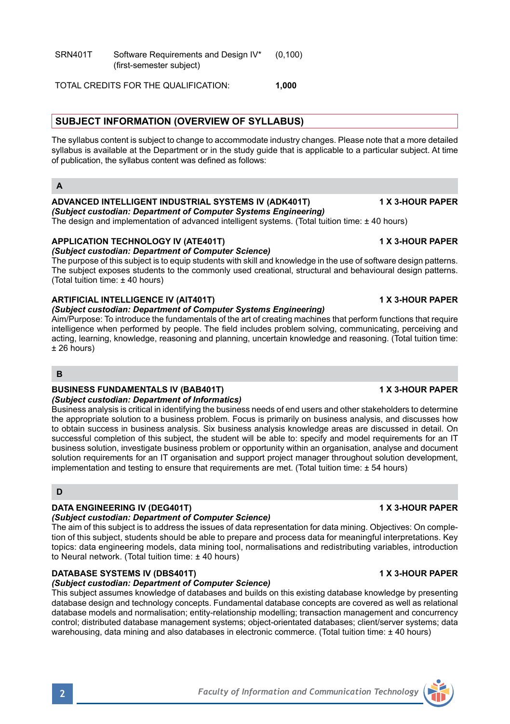TOTAL CREDITS FOR THE QUALIFICATION: **1,000**

# **SUBJECT INFORMATION (OVERVIEW OF SYLLABUS)**

The syllabus content is subject to change to accommodate industry changes. Please note that a more detailed syllabus is available at the Department or in the study guide that is applicable to a particular subject. At time of publication, the syllabus content was defined as follows:

## **A**

### **ADVANCED INTELLIGENT INDUSTRIAL SYSTEMS IV (ADK401T) 1 X 3-HOUR PAPER** *(Subject custodian: Department of Computer Systems Engineering)*

The design and implementation of advanced intelligent systems. (Total tuition time: ± 40 hours)

# **APPLICATION TECHNOLOGY IV (ATE401T) 1 X 3-HOUR PAPER**

*(Subject custodian: Department of Computer Science)* The purpose of this subject is to equip students with skill and knowledge in the use of software design patterns. The subject exposes students to the commonly used creational, structural and behavioural design patterns. (Total tuition time: ± 40 hours)

# **ARTIFICIAL INTELLIGENCE IV (AIT401T) 1 X 3-HOUR PAPER**

# *(Subject custodian: Department of Computer Systems Engineering)*

Aim/Purpose: To introduce the fundamentals of the art of creating machines that perform functions that require intelligence when performed by people. The field includes problem solving, communicating, perceiving and acting, learning, knowledge, reasoning and planning, uncertain knowledge and reasoning. (Total tuition time:  $± 26$  hours)

## **B**

# **BUSINESS FUNDAMENTALS IV (BAB401T) 1 X 3-HOUR PAPER**

### *(Subject custodian: Department of Informatics)*

Business analysis is critical in identifying the business needs of end users and other stakeholders to determine the appropriate solution to a business problem. Focus is primarily on business analysis, and discusses how to obtain success in business analysis. Six business analysis knowledge areas are discussed in detail. On successful completion of this subject, the student will be able to: specify and model requirements for an IT business solution, investigate business problem or opportunity within an organisation, analyse and document solution requirements for an IT organisation and support project manager throughout solution development, implementation and testing to ensure that requirements are met. (Total tuition time: ± 54 hours)

# **D**

# **DATA ENGINEERING IV (DEG401T) 1 X 3-HOUR PAPER**

# *(Subject custodian: Department of Computer Science)*

The aim of this subject is to address the issues of data representation for data mining. Objectives: On completion of this subject, students should be able to prepare and process data for meaningful interpretations. Key topics: data engineering models, data mining tool, normalisations and redistributing variables, introduction to Neural network. (Total tuition time: ± 40 hours)

# **DATABASE SYSTEMS IV (DBS401T) 1 X 3-HOUR PAPER**

# *(Subject custodian: Department of Computer Science)*

This subject assumes knowledge of databases and builds on this existing database knowledge by presenting database design and technology concepts. Fundamental database concepts are covered as well as relational database models and normalisation; entity-relationship modelling; transaction management and concurrency control; distributed database management systems; object-orientated databases; client/server systems; data warehousing, data mining and also databases in electronic commerce. (Total tuition time: ± 40 hours)

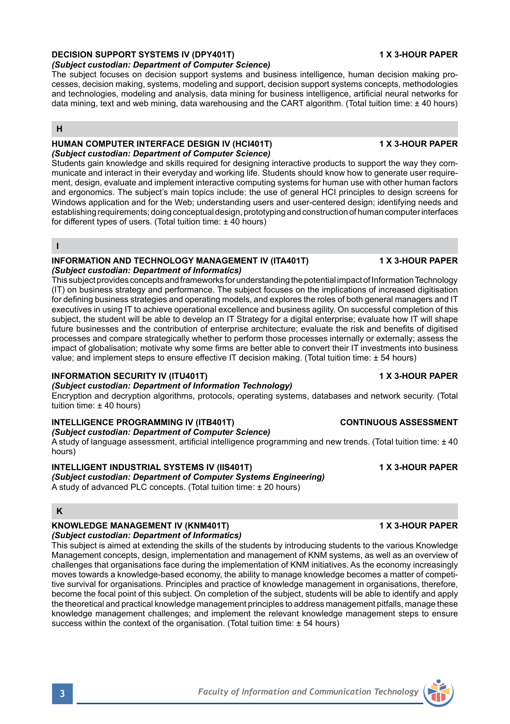## **DECISION SUPPORT SYSTEMS IV (DPY401T) 1 X 3-HOUR PAPER**

*(Subject custodian: Department of Computer Science)*

The subject focuses on decision support systems and business intelligence, human decision making processes, decision making, systems, modeling and support, decision support systems concepts, methodologies and technologies, modeling and analysis, data mining for business intelligence, artificial neural networks for data mining, text and web mining, data warehousing and the CART algorithm. (Total tuition time: ± 40 hours)

# **H**

### **HUMAN COMPUTER INTERFACE DESIGN IV (HCI401T) 1 X 3-HOUR PAPER** *(Subject custodian: Department of Computer Science)*

Students gain knowledge and skills required for designing interactive products to support the way they communicate and interact in their everyday and working life. Students should know how to generate user requirement, design, evaluate and implement interactive computing systems for human use with other human factors and ergonomics. The subject's main topics include: the use of general HCI principles to design screens for Windows application and for the Web; understanding users and user-centered design; identifying needs and establishing requirements; doing conceptual design, prototyping and construction of human computer interfaces for different types of users. (Total tuition time: +40 hours)

### **I**

### **INFORMATION AND TECHNOLOGY MANAGEMENT IV (ITA401T) 1 X 3-HOUR PAPER** *(Subject custodian: Department of Informatics)*

This subject provides concepts and frameworks for understanding the potential impact of Information Technology (IT) on business strategy and performance. The subject focuses on the implications of increased digitisation for defining business strategies and operating models, and explores the roles of both general managers and IT executives in using IT to achieve operational excellence and business agility. On successful completion of this subject, the student will be able to develop an IT Strategy for a digital enterprise; evaluate how IT will shape future businesses and the contribution of enterprise architecture; evaluate the risk and benefits of digitised processes and compare strategically whether to perform those processes internally or externally; assess the impact of globalisation; motivate why some firms are better able to convert their IT investments into business value; and implement steps to ensure effective IT decision making. (Total tuition time: ± 54 hours)

### **INFORMATION SECURITY IV (ITU401T) 1 X 3-HOUR PAPER**

*(Subject custodian: Department of Information Technology)*

Encryption and decryption algorithms, protocols, operating systems, databases and network security. (Total tuition time: ± 40 hours)

# **INTELLIGENCE PROGRAMMING IV (ITB401T) CONTINUOUS ASSESSMENT**

*(Subject custodian: Department of Computer Science)* A study of language assessment, artificial intelligence programming and new trends. (Total tuition time: ± 40 hours)

### **INTELLIGENT INDUSTRIAL SYSTEMS IV (IIS401T) 1 X 3-HOUR PAPER**

*(Subject custodian: Department of Computer Systems Engineering)* A study of advanced PLC concepts. (Total tuition time: ± 20 hours)

# **K**

# **KNOWLEDGE MANAGEMENT IV (KNM401T) 1 X 3-HOUR PAPER**

*(Subject custodian: Department of Informatics)*

This subject is aimed at extending the skills of the students by introducing students to the various Knowledge Management concepts, design, implementation and management of KNM systems, as well as an overview of challenges that organisations face during the implementation of KNM initiatives. As the economy increasingly moves towards a knowledge-based economy, the ability to manage knowledge becomes a matter of competitive survival for organisations. Principles and practice of knowledge management in organisations, therefore, become the focal point of this subject. On completion of the subject, students will be able to identify and apply the theoretical and practical knowledge management principles to address management pitfalls, manage these knowledge management challenges; and implement the relevant knowledge management steps to ensure success within the context of the organisation. (Total tuition time: ± 54 hours)